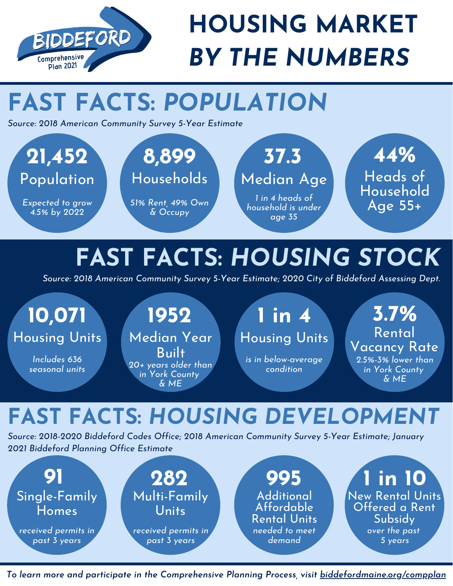

## **HOUSING MARKET** *BY THE NUMBERS*

## **FAST FACTS:** *POPULATION*

*Source: 2018 American Community Survey 5-Year Estimate*



## **FAST FACTS:** *HOUSING STOCK*

*Source: 2018 American Community Survey 5-Year Estimate; 2020 City of Biddeford Assessing Dept.*

# Housing Units Median Year

*Includes 636 seasonal units*

**Built** *20+ years older than in York County & ME*

#### **10,071 1952 1 in 4 3.7%** Housing Units

*is in below-average condition*

Vacancy Rate *2.5%-3% lower than in York County & ME*

#### **FAST FACTS:** *HOUSING DEVELOPMENT*

*Source: 2018-2020 Biddeford Codes Office; 2018 American Community Survey 5-Year Estimate; January 2021 Biddeford Planning Office Estimate*



*To learn more and participate in the Comprehensive Planning Process, visit biddefordmaine.org/compplan*